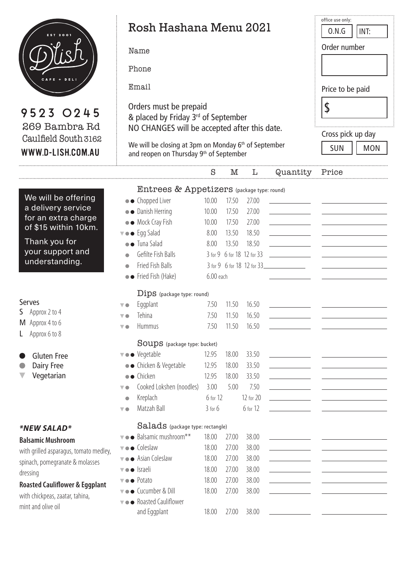

| <b>EST 2001</b>                                            | Rosh Hashana Menu 2021                                           |                           |       |                            |                                         | 0.N.G<br>INT:                                                                                                           |  |
|------------------------------------------------------------|------------------------------------------------------------------|---------------------------|-------|----------------------------|-----------------------------------------|-------------------------------------------------------------------------------------------------------------------------|--|
|                                                            | Name                                                             |                           |       |                            |                                         | Order number                                                                                                            |  |
|                                                            |                                                                  |                           |       |                            |                                         |                                                                                                                         |  |
|                                                            | Phone                                                            |                           |       |                            |                                         |                                                                                                                         |  |
| CAFE + DELI                                                | Email                                                            | Price to be paid          |       |                            |                                         |                                                                                                                         |  |
|                                                            | Orders must be prepaid                                           | $\boldsymbol{\mathsf{S}}$ |       |                            |                                         |                                                                                                                         |  |
| 9523 0245                                                  | & placed by Friday 3rd of September                              |                           |       |                            |                                         |                                                                                                                         |  |
| 269 Bambra Rd<br>Caulfield South 3162<br>WWW.D-LISH.COM.AU | NO CHANGES will be accepted after this date.                     | Cross pick up day         |       |                            |                                         |                                                                                                                         |  |
|                                                            | We will be closing at 3pm on Monday 6 <sup>th</sup> of September |                           |       |                            |                                         |                                                                                                                         |  |
|                                                            | and reopen on Thursday 9 <sup>th</sup> of September              | <b>SUN</b><br><b>MON</b>  |       |                            |                                         |                                                                                                                         |  |
|                                                            |                                                                  | S                         | M     | L                          | Quantity                                | Price                                                                                                                   |  |
|                                                            | Entrees & Appetizers (package type: round)                       |                           |       |                            |                                         |                                                                                                                         |  |
| We will be offering                                        | • Chopped Liver                                                  | 10.00                     | 17.50 | 27.00                      |                                         |                                                                                                                         |  |
| a delivery service                                         | • Danish Herring                                                 | 10.00                     | 17.50 | 27.00                      |                                         |                                                                                                                         |  |
| for an extra charge<br>of \$15 within 10km.                | • Mock Cray Fish                                                 | 10.00                     | 17.50 | 27.00                      |                                         |                                                                                                                         |  |
|                                                            | $\overline{\mathbf{v}} \bullet \bullet$ Eqq Salad                | 8.00                      | 13.50 | 18.50                      |                                         |                                                                                                                         |  |
| Thank you for<br>your support and<br>understanding.        | • Tuna Salad                                                     | 8.00                      | 13.50 | 18.50                      |                                         |                                                                                                                         |  |
|                                                            | Gefilte Fish Balls                                               |                           |       | 3 for 9 6 for 18 12 for 33 |                                         |                                                                                                                         |  |
|                                                            | Fried Fish Balls                                                 |                           |       |                            | 3 for 9 6 for 18 12 for 33              |                                                                                                                         |  |
|                                                            | • Fried Fish (Hake)                                              | 6.00 each                 |       |                            |                                         |                                                                                                                         |  |
|                                                            | Dips (package type: round)                                       |                           |       |                            |                                         |                                                                                                                         |  |
| <b>Serves</b>                                              | Eggplant                                                         | 7.50                      | 11.50 | 16.50                      |                                         |                                                                                                                         |  |
| Approx 2 to 4<br>S                                         | Tehina                                                           | 7.50                      | 11.50 | 16.50                      |                                         |                                                                                                                         |  |
| M Approx 4 to 6                                            | <b>Hummus</b><br>V O                                             | 7.50                      | 11.50 | 16.50                      |                                         |                                                                                                                         |  |
| Approx 6 to 8                                              | <b>SOUDS</b> (package type: bucket)                              |                           |       |                            |                                         |                                                                                                                         |  |
| <b>Gluten Free</b>                                         | ▼●● Vegetable                                                    | 12.95                     | 18.00 | 33.50                      |                                         |                                                                                                                         |  |
| Dairy Free                                                 | • Chicken & Vegetable                                            | 12.95                     | 18.00 | 33.50                      | the control of the control of the       |                                                                                                                         |  |
| Vegetarian                                                 | $\bullet$ Chicken                                                | 12.95                     | 18.00 | 33.50                      |                                         |                                                                                                                         |  |
|                                                            | Cooked Lokshen (noodles)<br>V O                                  | 3.00                      | 5.00  | 7.50                       |                                         |                                                                                                                         |  |
|                                                            | Kreplach<br>$\bullet$                                            | 6 for 12                  |       | 12 for 20                  |                                         |                                                                                                                         |  |
|                                                            | Matzah Ball<br>$\overline{\phantom{a}}$                          | $3$ for $6$               |       | 6 for 12                   |                                         |                                                                                                                         |  |
| *NEW SALAD*                                                | Salads (package type: rectangle)                                 |                           |       |                            |                                         |                                                                                                                         |  |
| <b>Balsamic Mushroom</b>                                   | v · Balsamic mushroom**                                          | 18.00                     | 27.00 | 38.00                      | <u> 1990 - Jan James James</u>          |                                                                                                                         |  |
| with grilled asparagus, tomato medley,                     | v · Coleslaw                                                     | 18.00                     | 27.00 | 38.00                      | <u> 1989 - Johann Barbara, martin a</u> | <u> Alban Alban (</u> 1985), serika pertama pertama pertama pertama pertama pertama pertama pertama pertama pertama per |  |
| spinach, pomegranate & molasses                            | v · Asian Coleslaw                                               | 18.00                     | 27.00 | 38.00                      |                                         |                                                                                                                         |  |
| dressing                                                   | vo Israeli                                                       | 18.00                     | 27.00 | 38.00                      |                                         |                                                                                                                         |  |
| <b>Roasted Cauliflower &amp; Eggplant</b>                  | $\overline{\phantom{a}}$ $\bullet$ Potato                        | 18.00                     | 27.00 | 38.00                      | the control of the control of the       |                                                                                                                         |  |
| with chickpeas, zaatar, tahina,                            | v • Cucumber & Dill                                              | 18.00                     | 27.00 | 38.00                      |                                         |                                                                                                                         |  |
| mint and olive oil                                         | v · Roasted Cauliflower                                          |                           |       |                            |                                         |                                                                                                                         |  |
|                                                            | and Eggplant                                                     | 18.00                     | 27.00 | 38.00                      |                                         |                                                                                                                         |  |

office use only: